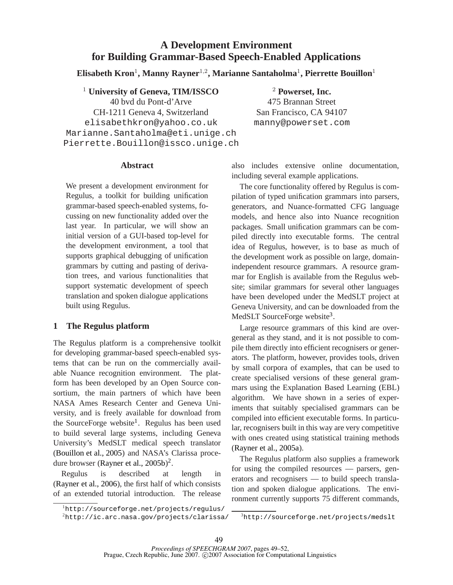# **A Development Environment for Building Grammar-Based Speech-Enabled Applications**

 $\mathbf{E}$ lisabeth Kron<sup>1</sup>, Manny Rayner<sup>1,2</sup>, Marianne Santaholma<sup>1</sup>, Pierrette Bouillon<sup>1</sup>

<sup>1</sup> **University of Geneva, TIM/ISSCO** 40 bvd du Pont-d'Arve CH-1211 Geneva 4, Switzerland elisabethkron@yahoo.co.uk Marianne.Santaholma@eti.unige.ch Pierrette.Bouillon@issco.unige.ch

<sup>2</sup> **Powerset, Inc.** 475 Brannan Street San Francisco, CA 94107 manny@powerset.com

## **Abstract**

We present a development environment for Regulus, a toolkit for building unification grammar-based speech-enabled systems, focussing on new functionality added over the last year. In particular, we will show an initial version of a GUI-based top-level for the development environment, a tool that supports graphical debugging of unification grammars by cutting and pasting of derivation trees, and various functionalities that support systematic development of speech translation and spoken dialogue applications built using Regulus.

# **1 The Regulus platform**

The Regulus platform is a comprehensive toolkit for developing grammar-based speech-enabled systems that can be run on the commercially available Nuance recognition environment. The platform has been developed by an Open Source consortium, the main partners of which have been NASA Ames Research Center and Geneva University, and is freely available for download from the SourceForge website<sup>1</sup>. Regulus has been used to build several large systems, including Geneva University's MedSLT medical speech translator (Bouillon et al., 2005) and NASA's Clarissa procedure browser (Rayner et al., 2005b)<sup>2</sup>.

Regulus is described at length in (Rayner et al., 2006), the first half of which consists of an extended tutorial introduction. The release

<sup>1</sup>http://sourceforge.net/projects/regulus/  $^{2}$ http://ic.arc.nasa.gov/projects/clarissa/

also includes extensive online documentation, including several example applications.

The core functionality offered by Regulus is compilation of typed unification grammars into parsers, generators, and Nuance-formatted CFG language models, and hence also into Nuance recognition packages. Small unification grammars can be compiled directly into executable forms. The central idea of Regulus, however, is to base as much of the development work as possible on large, domainindependent resource grammars. A resource grammar for English is available from the Regulus website; similar grammars for several other languages have been developed under the MedSLT project at Geneva University, and can be downloaded from the MedSLT SourceForge website<sup>3</sup>.

Large resource grammars of this kind are overgeneral as they stand, and it is not possible to compile them directly into efficient recognisers or generators. The platform, however, provides tools, driven by small corpora of examples, that can be used to create specialised versions of these general grammars using the Explanation Based Learning (EBL) algorithm. We have shown in a series of experiments that suitably specialised grammars can be compiled into efficient executable forms. In particular, recognisers built in this way are very competitive with ones created using statistical training methods (Rayner et al., 2005a).

The Regulus platform also supplies a framework for using the compiled resources — parsers, generators and recognisers — to build speech translation and spoken dialogue applications. The environment currently supports 75 different commands,

 $3$ http://sourceforge.net/projects/medslt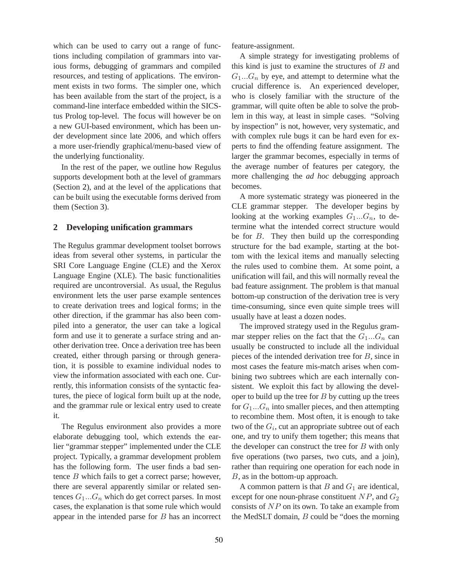which can be used to carry out a range of functions including compilation of grammars into various forms, debugging of grammars and compiled resources, and testing of applications. The environment exists in two forms. The simpler one, which has been available from the start of the project, is a command-line interface embedded within the SICStus Prolog top-level. The focus will however be on a new GUI-based environment, which has been under development since late 2006, and which offers a more user-friendly graphical/menu-based view of the underlying functionality.

In the rest of the paper, we outline how Regulus supports development both at the level of grammars (Section 2), and at the level of the applications that can be built using the executable forms derived from them (Section 3).

#### **2 Developing unification grammars**

The Regulus grammar development toolset borrows ideas from several other systems, in particular the SRI Core Language Engine (CLE) and the Xerox Language Engine (XLE). The basic functionalities required are uncontroversial. As usual, the Regulus environment lets the user parse example sentences to create derivation trees and logical forms; in the other direction, if the grammar has also been compiled into a generator, the user can take a logical form and use it to generate a surface string and another derivation tree. Once a derivation tree has been created, either through parsing or through generation, it is possible to examine individual nodes to view the information associated with each one. Currently, this information consists of the syntactic features, the piece of logical form built up at the node, and the grammar rule or lexical entry used to create it.

The Regulus environment also provides a more elaborate debugging tool, which extends the earlier "grammar stepper" implemented under the CLE project. Typically, a grammar development problem has the following form. The user finds a bad sentence B which fails to get a correct parse; however, there are several apparently similar or related sentences  $G_1...G_n$  which do get correct parses. In most cases, the explanation is that some rule which would appear in the intended parse for B has an incorrect feature-assignment.

A simple strategy for investigating problems of this kind is just to examine the structures of  $B$  and  $G_1...G_n$  by eye, and attempt to determine what the crucial difference is. An experienced developer, who is closely familiar with the structure of the grammar, will quite often be able to solve the problem in this way, at least in simple cases. "Solving by inspection" is not, however, very systematic, and with complex rule bugs it can be hard even for experts to find the offending feature assignment. The larger the grammar becomes, especially in terms of the average number of features per category, the more challenging the *ad hoc* debugging approach becomes.

A more systematic strategy was pioneered in the CLE grammar stepper. The developer begins by looking at the working examples  $G_1...G_n$ , to determine what the intended correct structure would be for  $B$ . They then build up the corresponding structure for the bad example, starting at the bottom with the lexical items and manually selecting the rules used to combine them. At some point, a unification will fail, and this will normally reveal the bad feature assignment. The problem is that manual bottom-up construction of the derivation tree is very time-consuming, since even quite simple trees will usually have at least a dozen nodes.

The improved strategy used in the Regulus grammar stepper relies on the fact that the  $G_1...G_n$  can usually be constructed to include all the individual pieces of the intended derivation tree for B, since in most cases the feature mis-match arises when combining two subtrees which are each internally consistent. We exploit this fact by allowing the developer to build up the tree for  $B$  by cutting up the trees for  $G_1...G_n$  into smaller pieces, and then attempting to recombine them. Most often, it is enough to take two of the  $G_i$ , cut an appropriate subtree out of each one, and try to unify them together; this means that the developer can construct the tree for  $B$  with only five operations (two parses, two cuts, and a join), rather than requiring one operation for each node in B, as in the bottom-up approach.

A common pattern is that  $B$  and  $G_1$  are identical, except for one noun-phrase constituent  $NP$ , and  $G_2$ consists of  $NP$  on its own. To take an example from the MedSLT domain, B could be "does the morning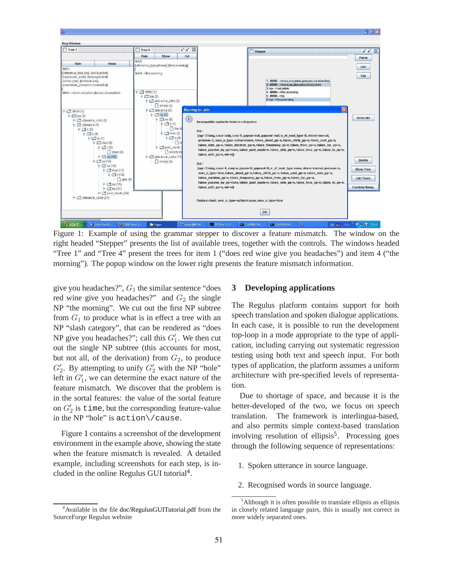

Figure 1: Example of using the grammar stepper to discover a feature mismatch. The window on the right headed "Stepper" presents the list of available trees, together with the controls. The windows headed "Tree 1" and "Tree 4" present the trees for item 1 ("does red wine give you headaches") and item 4 ("the morning"). The popup window on the lower right presents the feature mismatch information.

give you headaches?",  $G_1$  the similar sentence "does" red wine give you headaches?" and  $G_2$  the single NP "the morning". We cut out the first NP subtree from  $G_1$  to produce what is in effect a tree with an NP "slash category", that can be rendered as "does NP give you headaches?"; call this  $G'_1$ . We then cut out the single NP subtree (this accounts for most, but not all, of the derivation) from  $G_2$ , to produce  $G_2'$ . By attempting to unify  $G_2'$  with the NP "hole" left in  $G'_1$ , we can determine the exact nature of the feature mismatch. We discover that the problem is in the sortal features: the value of the sortal feature on  $G'_2$  is time, but the corresponding feature-value in the NP "hole" is action\/cause.

Figure 1 contains a screenshot of the development environment in the example above, showing the state when the feature mismatch is revealed. A detailed example, including screenshots for each step, is included in the online Regulus GUI tutorial<sup>4</sup>.

#### <sup>4</sup> Available in the file doc/RegulusGUITutorial.pdf from the SourceForge Regulus website

### **3 Developing applications**

The Regulus platform contains support for both speech translation and spoken dialogue applications. In each case, it is possible to run the development top-loop in a mode appropriate to the type of application, including carrying out systematic regression testing using both text and speech input. For both types of application, the platform assumes a uniform architecture with pre-specified levels of representation.

Due to shortage of space, and because it is the better-developed of the two, we focus on speech translation. The framework is interlingua-based, and also permits simple context-based translation involving resolution of ellipsis<sup>5</sup>. Processing goes through the following sequence of representations:

- 1. Spoken utterance in source language.
- 2. Recognised words in source language.

<sup>&</sup>lt;sup>5</sup>Although it is often possible to translate ellipsis as ellipsis in closely related language pairs, this is usually not correct in more widely separated ones.